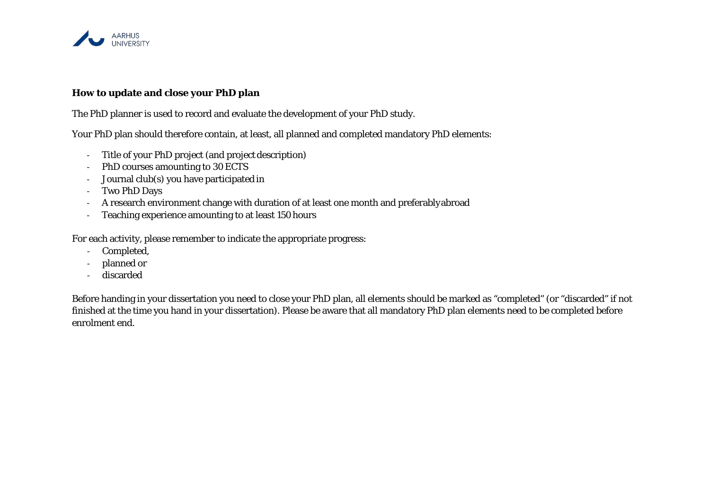

### **How to update and close your PhD plan**

The PhD planner is used to record and evaluate the development of your PhD study.

Your PhD plan should therefore contain, at least, all planned and completed mandatory PhD elements:

- Title of your PhD project (and project description)
- PhD courses amounting to 30ECTS
- Journal club(s) you have participated in
- Two PhD Days
- A research environment change with duration of at least one month and preferablyabroad
- Teaching experience amounting to at least 150hours

For each activity, please remember to indicate the appropriate progress:

- Completed,
- planned or
- discarded

Before handing in your dissertation you need to close your PhD plan, all elements should be marked as "completed" (or "discarded" if not finished at the time you hand in your dissertation). Please be aware that all mandatory PhD plan elements need to be completed before enrolment end.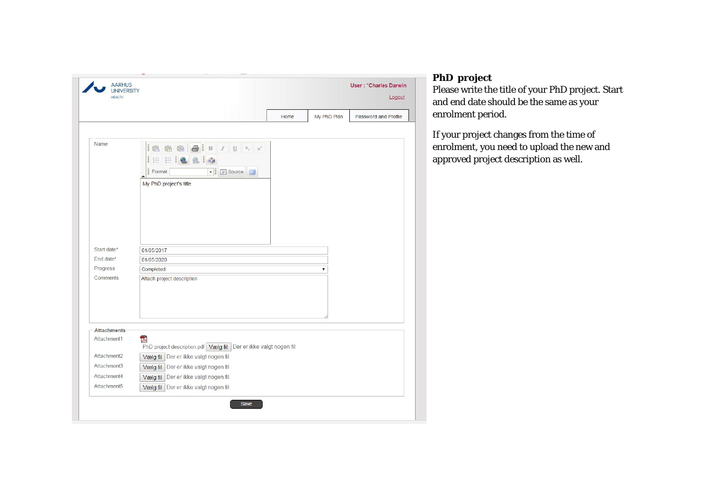| <b>UNIVERSITY</b><br>HEALTH          |                                                                                                                                                                     |      |             | Logout               |
|--------------------------------------|---------------------------------------------------------------------------------------------------------------------------------------------------------------------|------|-------------|----------------------|
|                                      |                                                                                                                                                                     | Home | My PhD Plan | Password and Profile |
| Name                                 | $\circledR$<br>Ie<br>$\mathbf{x}_i$<br>G<br>$\parallel \parallel \equiv \parallel \equiv$<br>880<br>▼ <b>B</b> Source<br>Format<br>$\Box$<br>My PhD project's title |      |             |                      |
| Start date*<br>Fnd date*<br>Progress | 01/05/2017<br>01/05/2020<br>Completed                                                                                                                               |      | ۷           |                      |
| Comments                             | Attach project description                                                                                                                                          |      |             |                      |
| <b>Attachments</b><br>Attachment1    | 囚                                                                                                                                                                   |      |             |                      |
|                                      | PhD project description.pdf Vælg fil Der er ikke valgt nogen fil                                                                                                    |      |             |                      |
| Attachment2                          | Vælg fil Der er ikke valgt nogen fil                                                                                                                                |      |             |                      |
| Attachment3                          | Vælg fil Der er ikke valgt nogen fil                                                                                                                                |      |             |                      |
| Attachment4                          | Vælg fil Der er ikke valgt nogen fil                                                                                                                                |      |             |                      |
| Attachment5                          | Vælg fil Der er ikke valgt nogen fil                                                                                                                                |      |             |                      |
|                                      | Save                                                                                                                                                                |      |             |                      |

# **PhD project**

Please write the title of your PhD project. Start and end date should be the same as your enrolment period.

If your project changes from the time of enrolment, you need to upload the new and approved project description as well.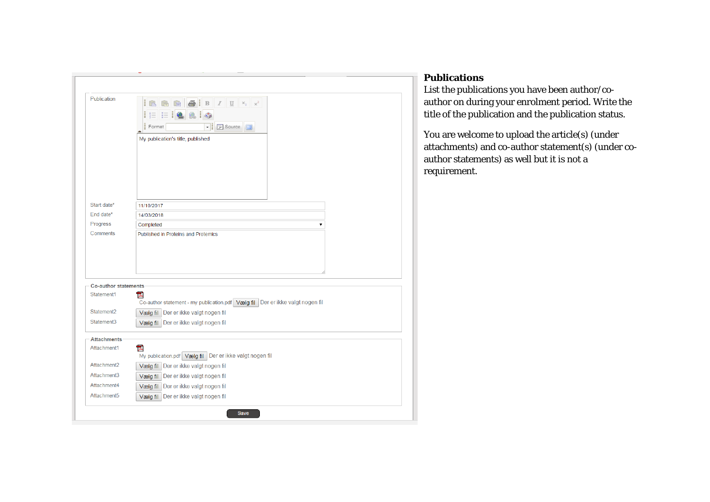| <b>Publication</b>          | I<br>U<br>$\, {\bf B}$<br>微<br>L<br><b>F</b> Source<br>Format<br>۰                 |
|-----------------------------|------------------------------------------------------------------------------------|
|                             | My publication's title, published                                                  |
| Start date*                 |                                                                                    |
| End date*                   | 11/10/2017<br>14/03/2018                                                           |
| Progress                    | Completed<br>▼                                                                     |
| Comments                    | Published in Proteins and Protemics                                                |
| <b>Co-author statements</b> |                                                                                    |
| Statement1                  | 고<br>Co-author statement - my publication.pdf Vælg fil Der er ikke valgt nogen fil |
| Statement2                  | Vælg fil Der er ikke valgt nogen fil                                               |
| Statement <sub>3</sub>      | Vælg fil Der er ikke valgt nogen fil                                               |
| <b>Attachments</b>          |                                                                                    |
| Attachment1                 | 고<br>My publication.pdf Vælg fil Der er ikke valgt nogen fil                       |
| Attachment2                 | Vælg fil Der er ikke valgt nogen fil                                               |
| Attachment3                 | Vælg fil Der er ikke valgt nogen fil                                               |
| Attachment4                 | Vælg fil Der er ikke valgt nogen fil                                               |
|                             | Vælg fil Der er ikke valgt nogen fil                                               |

### **Publications**

List the publications you have been author/coauthor on during your enrolment period. Write the title of the publication and the publication status.

You are welcome to upload the article(s) (under attachments) and co-author statement(s) (under coauthor statements) as well but it is not a requirement.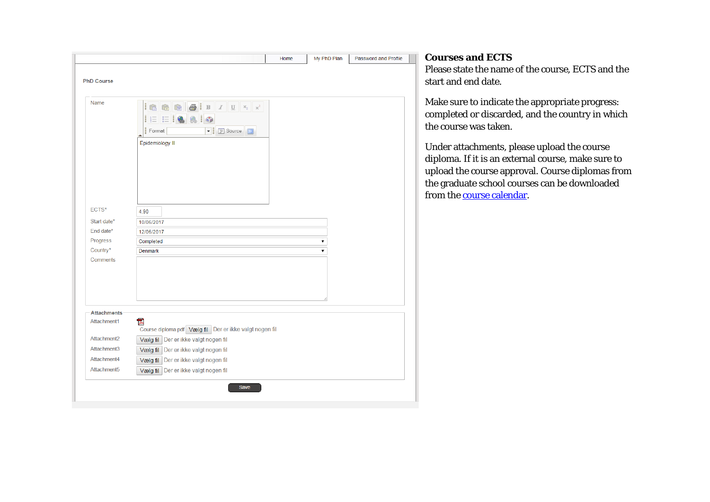|                    | Home<br>My PhD Plan<br>Password and Profile                                                                                                | <b>Courses</b>                                                     |
|--------------------|--------------------------------------------------------------------------------------------------------------------------------------------|--------------------------------------------------------------------|
|                    |                                                                                                                                            | Please sta                                                         |
| <b>PhD Course</b>  |                                                                                                                                            | start and                                                          |
| Name               | $E \equiv \left  \begin{smallmatrix} 1 & 0 \\ 0 & 0 \end{smallmatrix} \right  \left  \begin{smallmatrix} 0 \\ 0 \end{smallmatrix} \right $ | Make sur<br>complete                                               |
|                    | ▼ F Source<br>Format                                                                                                                       | the cours                                                          |
|                    | Epidemiology II                                                                                                                            | <b>Under</b> att<br>diploma.<br>upload th<br>the gradu<br>from the |
| ECTS*              | 4,90                                                                                                                                       |                                                                    |
| Start date*        | 10/06/2017                                                                                                                                 |                                                                    |
| End date*          | 12/06/2017                                                                                                                                 |                                                                    |
| Progress           | Completed<br>۷.                                                                                                                            |                                                                    |
| Country*           | <b>Denmark</b><br>7                                                                                                                        |                                                                    |
| Comments           |                                                                                                                                            |                                                                    |
| <b>Attachments</b> |                                                                                                                                            |                                                                    |
| Attachment1        | 고<br>Course diploma.pdf Vælg fil Der er ikke valgt nogen fil                                                                               |                                                                    |
| Attachment2        | Vælg fil Der er ikke valgt nogen fil                                                                                                       |                                                                    |
| Attachment3        | Vælg fil Der er ikke valgt nogen fil                                                                                                       |                                                                    |
| Attachment4        | Vælg fil Der er ikke valgt nogen fil                                                                                                       |                                                                    |
| Attachment5        | Vælg fil Der er ikke valgt nogen fil                                                                                                       |                                                                    |
|                    | <b>Save</b>                                                                                                                                |                                                                    |
|                    |                                                                                                                                            |                                                                    |

### **cand ECTS**

ate the name of the course, ECTS and the end date.

e to indicate the appropriate progress: ed or discarded, and the country in which se was taken.

tachments, please upload the course If it is an external course, make sure to ne course approval. Course diplomas from the attendance school courses can be downloaded course calendar.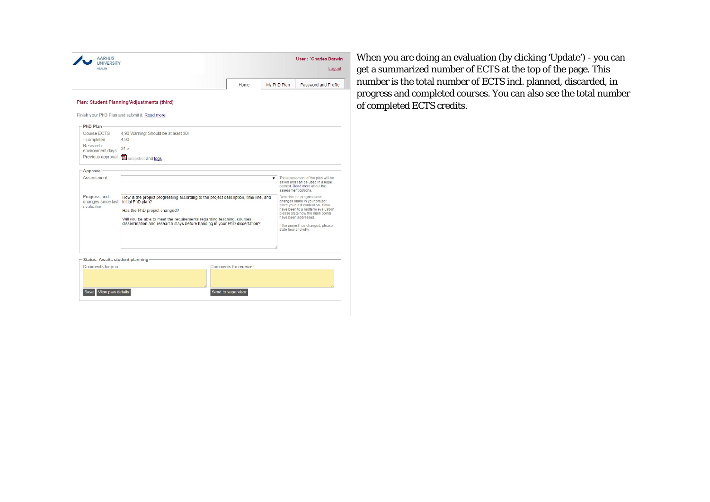|                                                            |                                                                                                                                                                                                                                                                                                 |  | Home.                 | My PhD Plan |                                    | Password and Profile                                                                                                                                                                                                                   |  |
|------------------------------------------------------------|-------------------------------------------------------------------------------------------------------------------------------------------------------------------------------------------------------------------------------------------------------------------------------------------------|--|-----------------------|-------------|------------------------------------|----------------------------------------------------------------------------------------------------------------------------------------------------------------------------------------------------------------------------------------|--|
|                                                            | Plan: Student Planning/Adjustments (third)<br>Finish your PhD Plan and submit it. Read more                                                                                                                                                                                                     |  |                       |             |                                    |                                                                                                                                                                                                                                        |  |
| PhD Plan                                                   |                                                                                                                                                                                                                                                                                                 |  |                       |             |                                    |                                                                                                                                                                                                                                        |  |
| Course ECTS                                                | 4,90 Warning: Should be at least 30!                                                                                                                                                                                                                                                            |  |                       |             |                                    |                                                                                                                                                                                                                                        |  |
| - completed                                                | 4.90                                                                                                                                                                                                                                                                                            |  |                       |             |                                    |                                                                                                                                                                                                                                        |  |
| Research<br>environment days                               | 31<                                                                                                                                                                                                                                                                                             |  |                       |             |                                    |                                                                                                                                                                                                                                        |  |
| Previous approval                                          | Snapshot and logs                                                                                                                                                                                                                                                                               |  |                       |             |                                    |                                                                                                                                                                                                                                        |  |
| Approval                                                   |                                                                                                                                                                                                                                                                                                 |  |                       |             |                                    |                                                                                                                                                                                                                                        |  |
| Assessment                                                 |                                                                                                                                                                                                                                                                                                 |  |                       |             | The assessment of the plan will be |                                                                                                                                                                                                                                        |  |
|                                                            |                                                                                                                                                                                                                                                                                                 |  |                       |             | assessment options.                | saved and can be used in a legal<br>context. Read more about the                                                                                                                                                                       |  |
| Progress and<br>changes since last<br>evaluation           | How is the project progressing according to the project description, time line, and<br>initial PhD plan?<br>Has the PhD project changed?<br>Will you be able to meet the requirements regarding teaching, courses,<br>dissemination and research stays before handing in your PhD dissertation? |  |                       |             | state how and why.                 | Describe the progress and<br>changes made in your project<br>since your last evaluation. If you<br>have been to a midterm evaluation<br>please state how the main points<br>have been addressed.<br>If the project has changed, please |  |
| <b>Status: Awaits student planning</b><br>Comments for you |                                                                                                                                                                                                                                                                                                 |  | Comments for receiver |             |                                    |                                                                                                                                                                                                                                        |  |

When you are doing an evaluation (by clicking 'Update') - you can get a summarized number of ECTS at the top of the page. This number is the total number of ECTS incl. planned, discarded, in progress and completed courses. You can also see the total number of completed ECTS credits.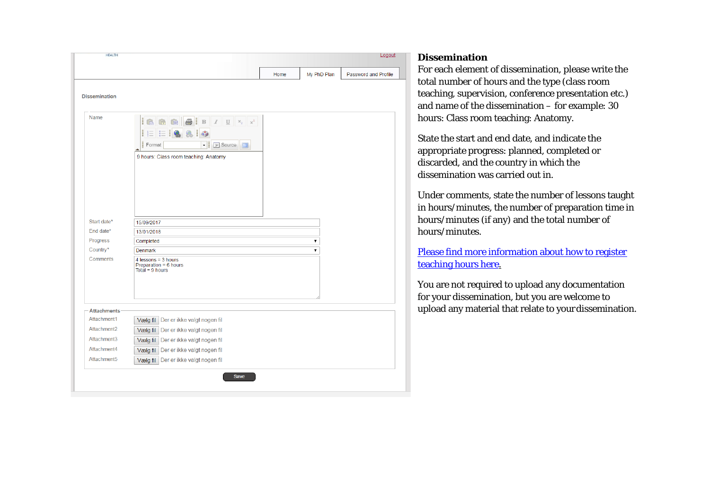|                          |                                                                                                                                                                                      | Home | My PhD Plan | Password and Profile |
|--------------------------|--------------------------------------------------------------------------------------------------------------------------------------------------------------------------------------|------|-------------|----------------------|
| <b>Dissemination</b>     |                                                                                                                                                                                      |      |             |                      |
| Name                     | ı<br>$\bigcirc$<br>$\;$ B<br>$\mathbb Z$<br>$\mathbf U$<br>$\mathbb{X}_2$<br>齢<br>∥ŧ≣<br>÷<br>$\mathbb{P}$ Source<br>Format<br>⊣∥<br>$\Box$<br>9 hours: Class room teaching: Anatomy |      |             |                      |
| Start date*<br>End date* | 15/09/2017<br>13/01/2018                                                                                                                                                             |      |             |                      |
| Progress                 | Completed                                                                                                                                                                            |      | ۷.          |                      |
| Country*                 | <b>Denmark</b>                                                                                                                                                                       |      | ۷           |                      |
| Comments                 | 4 lessons = $3$ hours<br>Preparation = 6 hours<br>Total = $9$ hours                                                                                                                  |      |             |                      |
| <b>Attachments</b>       |                                                                                                                                                                                      |      |             |                      |
| Attachment1              | Vælg fil Der er ikke valgt nogen fil                                                                                                                                                 |      |             |                      |
| Attachment2              | Vælg fil Der er ikke valgt nogen fil                                                                                                                                                 |      |             |                      |
| Attachment3              | Vælg fil Der er ikke valgt nogen fil                                                                                                                                                 |      |             |                      |
| Attachment4              | Vælg fil Der er ikke valgt nogen fil                                                                                                                                                 |      |             |                      |
| Attachment <sub>5</sub>  | Vælg fil Der er ikke valgt nogen fil                                                                                                                                                 |      |             |                      |

#### **Dissemination**

For each element of dissemination, please write the total number of hours and the type (class room teaching, supervision, conference presentation etc.) and name of the dissemination – for example: 30 hours: Class room teaching: Anatomy.

State the start and end date, and indicate the appropriate progress: planned, completed or discarded, and the country in which the dissemination was carried out in.

Under comments, state the number of lessons taught in hours/minutes, the number of preparation time in hours/minutes (if any) and the total number of hours/minutes.

[Please find more information about how to register](http://www.phd.health.au.dk/doingaphd/teaching-experience) [teaching hours here.](http://www.phd.health.au.dk/doingaphd/teaching-experience)

You are not required to upload any documentation for your dissemination, but you are welcome to upload any material that relate to your dissemination.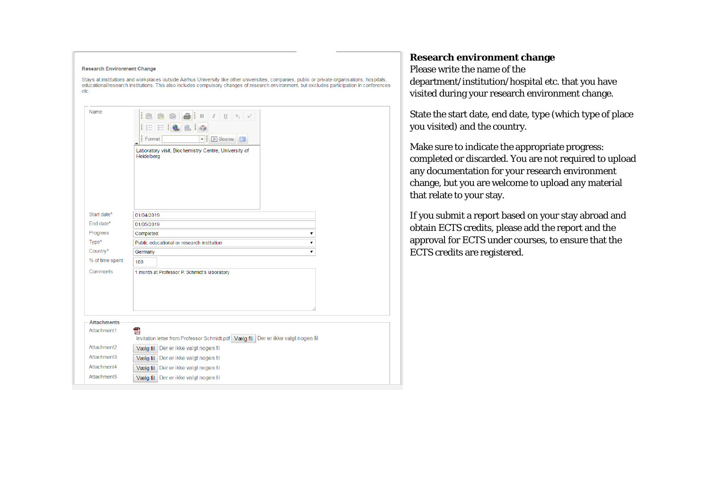| <b>Research Environment Change</b><br>etc.<br>Name | Stays at institutions and workplaces outside Aarhus University like other universities, companies, public or private organisations, hospitals,<br>educational/research institutions. This also includes compulsory changes of research environment, but excludes participation in conferences<br>& I<br>$B$ $I$<br>$\mathbf U$<br>∐⊟<br>HΞ<br>Format<br><b>F</b> Source<br>$\Box$<br>$\!\!\star$<br>Laboratory visit, Biochemistry Centre, University of<br>Heidelberg |  |  |
|----------------------------------------------------|------------------------------------------------------------------------------------------------------------------------------------------------------------------------------------------------------------------------------------------------------------------------------------------------------------------------------------------------------------------------------------------------------------------------------------------------------------------------|--|--|
| Start date*<br>End date*<br>Progress               | 01/04/2019<br>01/05/2019<br>Completed<br>۷.                                                                                                                                                                                                                                                                                                                                                                                                                            |  |  |
| $Type*$                                            | Public educational or research institution<br>۷.                                                                                                                                                                                                                                                                                                                                                                                                                       |  |  |
| Country*                                           | Germany                                                                                                                                                                                                                                                                                                                                                                                                                                                                |  |  |
| % of time spent                                    | 100                                                                                                                                                                                                                                                                                                                                                                                                                                                                    |  |  |
| Comments                                           | 1 month at Professor P. Schmidt's laboratory                                                                                                                                                                                                                                                                                                                                                                                                                           |  |  |
| <b>Attachments</b>                                 |                                                                                                                                                                                                                                                                                                                                                                                                                                                                        |  |  |
| Attachment1                                        | 고<br>Invitation letter from Professor Schmidt.pdf   Vælg fil   Der er ikke valgt nogen fil                                                                                                                                                                                                                                                                                                                                                                             |  |  |
| Attachment2                                        | Vælg fil Der er ikke valgt nogen fil                                                                                                                                                                                                                                                                                                                                                                                                                                   |  |  |
| Attachment3                                        | Vælg fil Der er ikke valgt nogen fil                                                                                                                                                                                                                                                                                                                                                                                                                                   |  |  |
| Attachment4                                        | Vælg fil Der er ikke valgt nogen fil                                                                                                                                                                                                                                                                                                                                                                                                                                   |  |  |
| Attachment <sub>5</sub>                            | Vælg fil Der er ikke valgt nogen fil                                                                                                                                                                                                                                                                                                                                                                                                                                   |  |  |

### **Research environment change**

Please write the name of the department/institution/hospital etc. that you have visited during your research environment change.

State the start date, end date, type (which type of place you visited) and the country.

Make sure to indicate the appropriate progress: completed or discarded. You are not required to upload any documentation for your research environment change, but you are welcome to upload any material that relate to your stay.

If you submit a report based on your stay abroad and obtain ECTS credits, please add the report and the approval for ECTS under courses, to ensure that the ECTS credits are registered.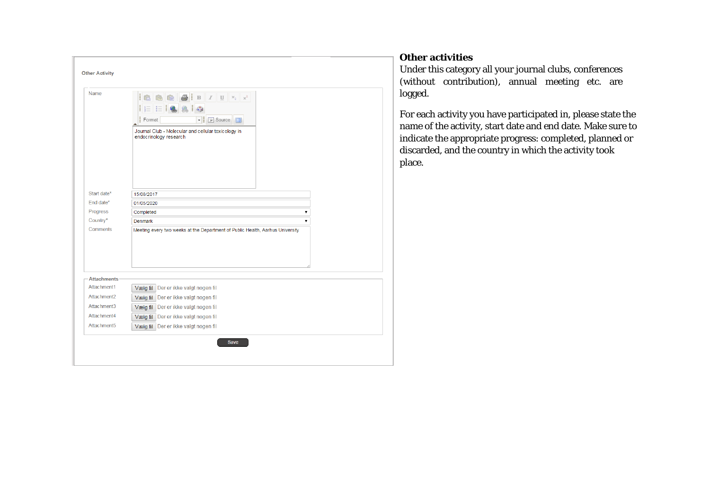| Name                     | L<br>∥⊫<br>HΞ<br><b>F</b> Source<br>Format<br>× ∥<br>Journal Club - Molecular and cellular toxicology in<br>endocrinology research |  |  |  |
|--------------------------|------------------------------------------------------------------------------------------------------------------------------------|--|--|--|
|                          |                                                                                                                                    |  |  |  |
| Start date*<br>End date* | 15/08/2017                                                                                                                         |  |  |  |
| Progress                 | 01/05/2020                                                                                                                         |  |  |  |
| Country*                 | Completed<br>▼<br><b>Denmark</b><br>▼                                                                                              |  |  |  |
| Comments                 | Meeting every two weeks at the Department of Public Health, Aarhus University                                                      |  |  |  |
| <b>Attachments</b>       |                                                                                                                                    |  |  |  |
| Attachment1              | Vælg fil Der er ikke valgt nogen fil                                                                                               |  |  |  |
| Attachment2              | Vælg fil Der er ikke valgt nogen fil                                                                                               |  |  |  |
| Attachment3              | Vælg fil Der er ikke valgt nogen fil                                                                                               |  |  |  |
| Attachment4              | Vælg fil Der er ikke valgt nogen fil                                                                                               |  |  |  |
| Attachment5              | Vælg fil Der er ikke valgt nogen fil                                                                                               |  |  |  |

## **Other activities**

Under this category all your journal clubs, conferences (without contribution), annual meeting etc. are logged.

For each activity you have participated in, please state the name of the activity, start date and end date. Make sure to indicate the appropriate progress: completed, planned or discarded, and the country in which the activity took place.